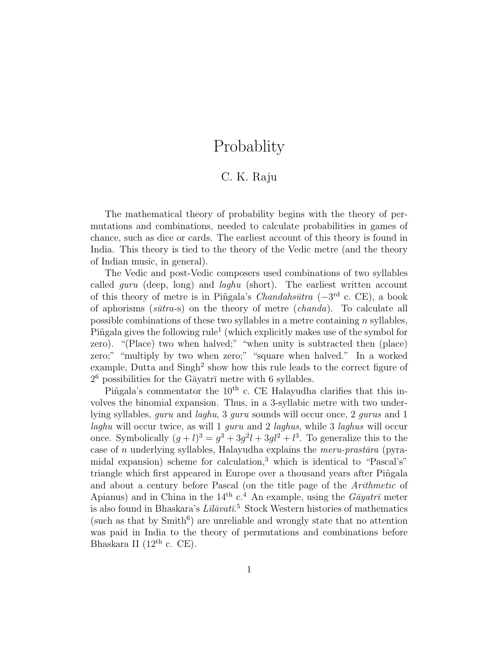# Probablity

### C. K. Raju

The mathematical theory of probability begins with the theory of permutations and combinations, needed to calculate probabilities in games of chance, such as dice or cards. The earliest account of this theory is found in India. This theory is tied to the theory of the Vedic metre (and the theory of Indian music, in general).

The Vedic and post-Vedic composers used combinations of two syllables called guru (deep, long) and laghu (short). The earliest written account of this theory of metre is in Piñgala's *Chandahsūtra* ( $-3<sup>rd</sup>$  c. CE), a book of aphorisms ( $s\bar{u}tra-s$ ) on the theory of metre ( $chanda$ ). To calculate all possible combinations of these two syllables in a metre containing  $n$  syllables, Piñgala gives the following  $rule<sup>1</sup>$  (which explicitly makes use of the symbol for zero). "(Place) two when halved;" "when unity is subtracted then (place) zero;" "multiply by two when zero;" "square when halved." In a worked example, Dutta and Singh<sup>2</sup> show how this rule leads to the correct figure of  $2<sup>6</sup>$  possibilities for the Gāyatrī metre with 6 syllables.

Piñgala's commentator the  $10<sup>th</sup>$  c. CE Halayudha clarifies that this involves the binomial expansion. Thus, in a 3-syllabic metre with two underlying syllables, guru and laghu, 3 guru sounds will occur once, 2 gurus and 1 laghu will occur twice, as will 1 guru and 2 laghus, while 3 laghus will occur once. Symbolically  $(g+l)^3 = g^3 + 3g^2l + 3gl^2 + l^3$ . To generalize this to the case of n underlying syllables, Halayudha explains the meru-prast $\bar{a}$ ra (pyramidal expansion) scheme for calculation,<sup>3</sup> which is identical to "Pascal's" triangle which first appeared in Europe over a thousand years after Piñgala and about a century before Pascal (on the title page of the Arithmetic of Apianus) and in China in the  $14<sup>th</sup>$  c.<sup>4</sup> An example, using the *G* $\bar{a}y \cdot a t \cdot \bar{t}$  meter is also found in Bhaskara's  $L\bar{u}\bar{a}v$  Stock Western histories of mathematics  $(such as that by Smith<sup>6</sup>)$  are unreliable and wrongly state that no attention was paid in India to the theory of permutations and combinations before Bhaskara II ( $12<sup>th</sup>$  c. CE).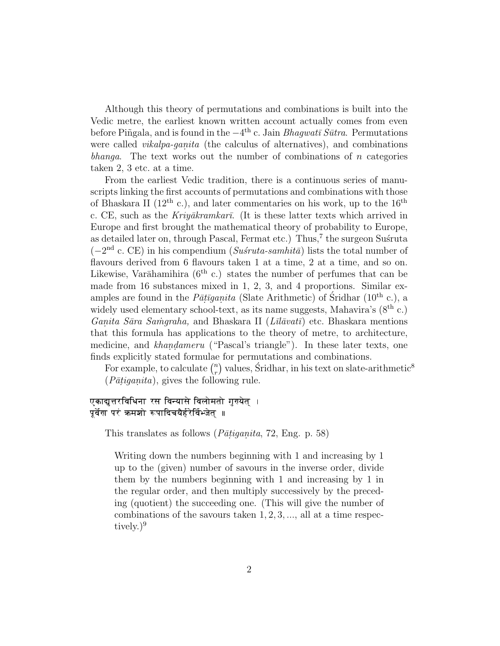Although this theory of permutations and combinations is built into the Vedic metre, the earliest known written account actually comes from even before Piñgala, and is found in the  $-4<sup>th</sup>$  c. Jain *Bhagwatī Sūtra*. Permutations were called *vikalpa-ganita* (the calculus of alternatives), and combinations bhanga. The text works out the number of combinations of n categories taken 2, 3 etc. at a time.

From the earliest Vedic tradition, there is a continuous series of manuscripts linking the first accounts of permutations and combinations with those of Bhaskara II ( $12<sup>th</sup>$  c.), and later commentaries on his work, up to the  $16<sup>th</sup>$ c. CE, such as the  $Kriy\bar{a}kramkar\bar{i}$ . (It is these latter texts which arrived in Europe and first brought the mathematical theory of probability to Europe, as detailed later on, through Pascal, Fermat etc.) Thus,<sup>7</sup> the surgeon Susruta  $(-2<sup>nd</sup>$  c. CE) in his compendium (Sustation-samhita) lists the total number of flavours derived from 6 flavours taken 1 at a time, 2 at a time, and so on. Likewise, Varāhamihira  $(6^{th}$  c.) states the number of perfumes that can be made from 16 substances mixed in 1, 2, 3, and 4 proportions. Similar examples are found in the *Pāṭīgaṇita* (Slate Arithmetic) of Śridhar  $(10<sup>th</sup> c.)$ , a widely used elementary school-text, as its name suggests, Mahavira's  $(8<sup>th</sup> c.)$ Ganita Sāra Samgraha, and Bhaskara II (Līlāvatī) etc. Bhaskara mentions that this formula has applications to the theory of metre, to architecture, medicine, and khandameru ("Pascal's triangle"). In these later texts, one finds explicitly stated formulae for permutations and combinations.

For example, to calculate  $\binom{n}{r}$  $\binom{n}{r}$  values, Sridhar, in his text on slate-arithmetic<sup>8</sup>  $(P\bar{a}tiganita)$ , gives the following rule.

#### एकाद्युत्तरविधिना रस विन्यासे विलोमतो गुरयेत् । पूर्वेशा परं <mark>कमशो रूपादिचयैर्हरेर्वि</mark>म्जेत ॥

This translates as follows ( $Pātiganita$ , 72, Eng. p. 58)

Writing down the numbers beginning with 1 and increasing by 1 up to the (given) number of savours in the inverse order, divide them by the numbers beginning with 1 and increasing by 1 in the regular order, and then multiply successively by the preceding (quotient) the succeeding one. (This will give the number of combinations of the savours taken  $1, 2, 3, \ldots$ , all at a time respectively.)<sup>9</sup>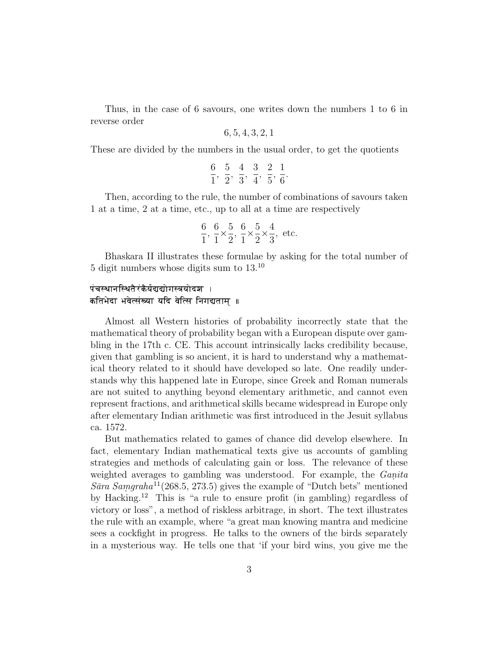Thus, in the case of 6 savours, one writes down the numbers 1 to 6 in reverse order

$$
6,5,4,3,2,1
$$

These are divided by the numbers in the usual order, to get the quotients

$$
\frac{6}{1}, \frac{5}{2}, \frac{4}{3}, \frac{3}{4}, \frac{2}{5}, \frac{1}{6}.
$$

Then, according to the rule, the number of combinations of savours taken 1 at a time, 2 at a time, etc., up to all at a time are respectively

$$
\frac{6}{1}, \frac{6}{1} \times \frac{5}{2}, \frac{6}{1} \times \frac{5}{2} \times \frac{4}{3}, \text{ etc.}
$$

Bhaskara II illustrates these formulae by asking for the total number of 5 digit numbers whose digits sum to 13.<sup>10</sup>

#### पंचस्थानस्थितैरंकैर्यद्यद्योगस्त्रयोदश । कतिभेदा भवेत्संख्या यदि वेत्सि निगद्यताम ॥

Almost all Western histories of probability incorrectly state that the mathematical theory of probability began with a European dispute over gambling in the 17th c. CE. This account intrinsically lacks credibility because, given that gambling is so ancient, it is hard to understand why a mathematical theory related to it should have developed so late. One readily understands why this happened late in Europe, since Greek and Roman numerals are not suited to anything beyond elementary arithmetic, and cannot even represent fractions, and arithmetical skills became widespread in Europe only after elementary Indian arithmetic was first introduced in the Jesuit syllabus ca. 1572.

But mathematics related to games of chance did develop elsewhere. In fact, elementary Indian mathematical texts give us accounts of gambling strategies and methods of calculating gain or loss. The relevance of these weighted averages to gambling was understood. For example, the *Ganita*  $Sāra Samgraha<sup>11</sup>(268.5, 273.5)$  gives the example of "Dutch bets" mentioned by Hacking.<sup>12</sup> This is "a rule to ensure profit (in gambling) regardless of victory or loss", a method of riskless arbitrage, in short. The text illustrates the rule with an example, where "a great man knowing mantra and medicine sees a cockfight in progress. He talks to the owners of the birds separately in a mysterious way. He tells one that 'if your bird wins, you give me the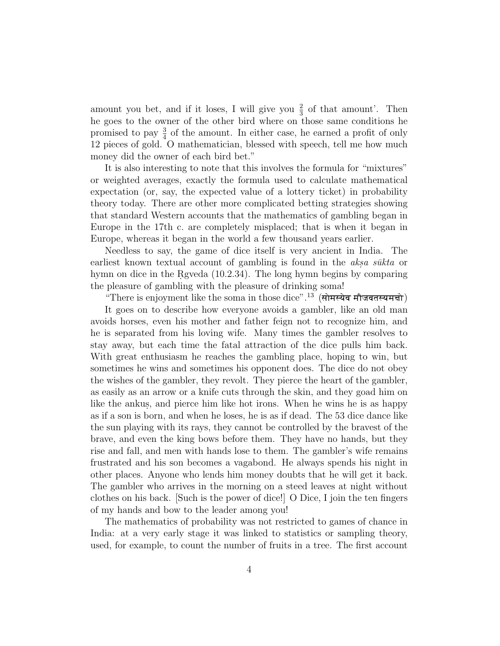amount you bet, and if it loses, I will give you  $\frac{2}{3}$  of that amount'. Then he goes to the owner of the other bird where on those same conditions he promised to pay  $\frac{3}{4}$  of the amount. In either case, he earned a profit of only 12 pieces of gold. O mathematician, blessed with speech, tell me how much money did the owner of each bird bet."

It is also interesting to note that this involves the formula for "mixtures" or weighted averages, exactly the formula used to calculate mathematical expectation (or, say, the expected value of a lottery ticket) in probability theory today. There are other more complicated betting strategies showing that standard Western accounts that the mathematics of gambling began in Europe in the 17th c. are completely misplaced; that is when it began in Europe, whereas it began in the world a few thousand years earlier.

Needless to say, the game of dice itself is very ancient in India. The earliest known textual account of gambling is found in the *aksa sūkta* or hymn on dice in the Rgveda  $(10.2.34)$ . The long hymn begins by comparing the pleasure of gambling with the pleasure of drinking soma!

"There is enjoyment like the soma in those dice".<sup>13</sup> (सोमस्येव मौजवतस्यमचो)

It goes on to describe how everyone avoids a gambler, like an old man avoids horses, even his mother and father feign not to recognize him, and he is separated from his loving wife. Many times the gambler resolves to stay away, but each time the fatal attraction of the dice pulls him back. With great enthusiasm he reaches the gambling place, hoping to win, but sometimes he wins and sometimes his opponent does. The dice do not obey the wishes of the gambler, they revolt. They pierce the heart of the gambler, as easily as an arrow or a knife cuts through the skin, and they goad him on like the ankus, and pierce him like hot irons. When he wins he is as happy as if a son is born, and when he loses, he is as if dead. The 53 dice dance like the sun playing with its rays, they cannot be controlled by the bravest of the brave, and even the king bows before them. They have no hands, but they rise and fall, and men with hands lose to them. The gambler's wife remains frustrated and his son becomes a vagabond. He always spends his night in other places. Anyone who lends him money doubts that he will get it back. The gambler who arrives in the morning on a steed leaves at night without clothes on his back. [Such is the power of dice!] O Dice, I join the ten fingers of my hands and bow to the leader among you!

The mathematics of probability was not restricted to games of chance in India: at a very early stage it was linked to statistics or sampling theory, used, for example, to count the number of fruits in a tree. The first account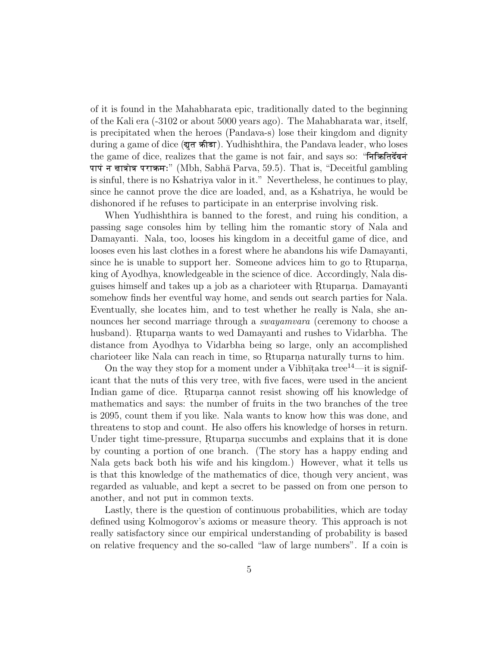of it is found in the Mahabharata epic, traditionally dated to the beginning of the Kali era (-3102 or about 5000 years ago). The Mahabharata war, itself, is precipitated when the heroes (Pandava-s) lose their kingdom and dignity during a game of dice (द्युत कीड़ा). Yudhishthira, the Pandava leader, who loses the game of dice, realizes that the game is not fair, and says so: " $\widehat{\mathsf{H}}$ पापं न न्नात्रोत्र पराक्रमः" (Mbh, Sabhā Parva, 59.5). That is, "Deceitful gambling is sinful, there is no Kshatriya valor in it." Nevertheless, he continues to play, since he cannot prove the dice are loaded, and, as a Kshatriya, he would be dishonored if he refuses to participate in an enterprise involving risk.

When Yudhishthira is banned to the forest, and ruing his condition, a passing sage consoles him by telling him the romantic story of Nala and Damayanti. Nala, too, looses his kingdom in a deceitful game of dice, and looses even his last clothes in a forest where he abandons his wife Damayanti, since he is unable to support her. Someone advices him to go to Rtuparna, king of Ayodhya, knowledgeable in the science of dice. Accordingly, Nala disguises himself and takes up a job as a charioteer with Rtuparna. Damayanti somehow finds her eventful way home, and sends out search parties for Nala. Eventually, she locates him, and to test whether he really is Nala, she announces her second marriage through a *swayamvara* (ceremony to choose a husband). Rtuparna wants to wed Damayanti and rushes to Vidarbha. The distance from Ayodhya to Vidarbha being so large, only an accomplished charioteer like Nala can reach in time, so Rtuparna naturally turns to him.

On the way they stop for a moment under a Vibhitaka tree<sup>14</sup>—it is significant that the nuts of this very tree, with five faces, were used in the ancient Indian game of dice. Retuparna cannot resist showing off his knowledge of mathematics and says: the number of fruits in the two branches of the tree is 2095, count them if you like. Nala wants to know how this was done, and threatens to stop and count. He also offers his knowledge of horses in return. Under tight time-pressure, Rtuparna succumbs and explains that it is done by counting a portion of one branch. (The story has a happy ending and Nala gets back both his wife and his kingdom.) However, what it tells us is that this knowledge of the mathematics of dice, though very ancient, was regarded as valuable, and kept a secret to be passed on from one person to another, and not put in common texts.

Lastly, there is the question of continuous probabilities, which are today defined using Kolmogorov's axioms or measure theory. This approach is not really satisfactory since our empirical understanding of probability is based on relative frequency and the so-called "law of large numbers". If a coin is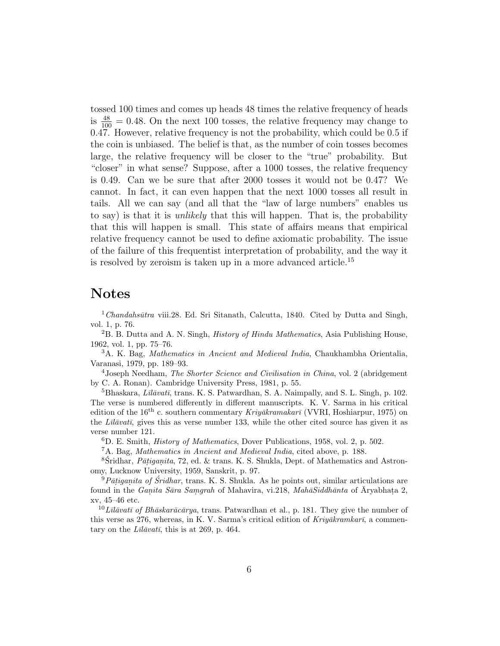tossed 100 times and comes up heads 48 times the relative frequency of heads is  $\frac{48}{100} = 0.48$ . On the next 100 tosses, the relative frequency may change to 0.47. However, relative frequency is not the probability, which could be 0.5 if the coin is unbiased. The belief is that, as the number of coin tosses becomes large, the relative frequency will be closer to the "true" probability. But "closer" in what sense? Suppose, after a 1000 tosses, the relative frequency is 0.49. Can we be sure that after 2000 tosses it would not be 0.47? We cannot. In fact, it can even happen that the next 1000 tosses all result in tails. All we can say (and all that the "law of large numbers" enables us to say) is that it is unlikely that this will happen. That is, the probability that this will happen is small. This state of affairs means that empirical relative frequency cannot be used to define axiomatic probability. The issue of the failure of this frequentist interpretation of probability, and the way it is resolved by zeroism is taken up in a more advanced article.<sup>15</sup>

## Notes

 $1$ Chandahsūtra viii.28. Ed. Sri Sitanath, Calcutta, 1840. Cited by Dutta and Singh, vol. 1, p. 76.

 ${}^{2}$ B. B. Dutta and A. N. Singh, *History of Hindu Mathematics*, Asia Publishing House, 1962, vol. 1, pp. 75–76.

<sup>3</sup>A. K. Bag, Mathematics in Ancient and Medieval India, Chaukhambha Orientalia, Varanasi, 1979, pp. 189–93.

<sup>4</sup>Joseph Needham, The Shorter Science and Civilisation in China, vol. 2 (abridgement by C. A. Ronan). Cambridge University Press, 1981, p. 55.

 ${}^{5}$ Bhaskara, *Līlāvatī*, trans. K. S. Patwardhan, S. A. Naimpally, and S. L. Singh, p. 102. The verse is numbered differently in different manuscripts. K. V. Sarma in his critical edition of the 16<sup>th</sup> c. southern commentary Kriy $\bar{a}kramakar\bar{\iota}$  (VVRI, Hoshiarpur, 1975) on the L $\bar{u}$  $\bar{d}$  $\bar{u}$  zives this as verse number 133, while the other cited source has given it as verse number 121.

 ${}^{6}$ D. E. Smith, *History of Mathematics*, Dover Publications, 1958, vol. 2, p. 502.

<sup>7</sup>A. Bag, Mathematics in Ancient and Medieval India, cited above, p. 188.

 $8\text{Sridhar}, \text{Pātiganita}, 72, \text{ed.} \& \text{trans. K. S. Shukla, Dept. of Mathematics and Astron-}$ omy, Lucknow University, 1959, Sanskrit, p. 97.

 $^{9}P\bar{a}tiganita$  of Śridhar, trans. K. S. Shukla. As he points out, similar articulations are found in the *Ganita Sāra Samgrah* of Mahavira, vi.218, MahāSiddhānta of Āryabhata 2, xv, 45–46 etc.

<sup>10</sup>Līdāvatī of Bhāskarācārya, trans. Patwardhan et al., p. 181. They give the number of this verse as 276, whereas, in K. V. Sarma's critical edition of  $Kriy\bar{a}kramkar\bar{i}$ , a commentary on the  $L\bar{u}\bar{a}v\bar{a}\bar{t}$ , this is at 269, p. 464.